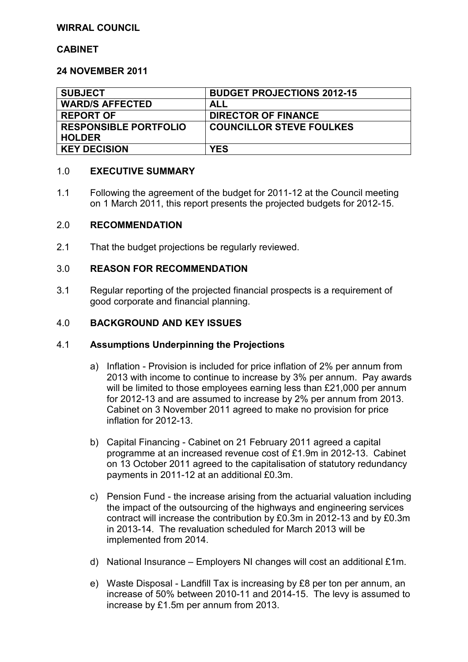## **WIRRAL COUNCIL**

#### **CABINET**

#### **24 NOVEMBER 2011**

| <b>SUBJECT</b>               | <b>BUDGET PROJECTIONS 2012-15</b> |
|------------------------------|-----------------------------------|
| <b>WARD/S AFFECTED</b>       | ALL                               |
| <b>REPORT OF</b>             | <b>DIRECTOR OF FINANCE</b>        |
| <b>RESPONSIBLE PORTFOLIO</b> | <b>COUNCILLOR STEVE FOULKES</b>   |
| <b>HOLDER</b>                |                                   |
| <b>KEY DECISION</b>          | <b>YES</b>                        |

#### 1.0 **EXECUTIVE SUMMARY**

1.1 Following the agreement of the budget for 2011-12 at the Council meeting on 1 March 2011, this report presents the projected budgets for 2012-15.

#### 2.0 **RECOMMENDATION**

2.1 That the budget projections be regularly reviewed.

#### 3.0 **REASON FOR RECOMMENDATION**

3.1 Regular reporting of the projected financial prospects is a requirement of good corporate and financial planning.

#### 4.0 **BACKGROUND AND KEY ISSUES**

#### 4.1 **Assumptions Underpinning the Projections**

- a) Inflation Provision is included for price inflation of 2% per annum from 2013 with income to continue to increase by 3% per annum. Pay awards will be limited to those employees earning less than £21,000 per annum for 2012-13 and are assumed to increase by 2% per annum from 2013. Cabinet on 3 November 2011 agreed to make no provision for price inflation for 2012-13.
- b) Capital Financing Cabinet on 21 February 2011 agreed a capital programme at an increased revenue cost of £1.9m in 2012-13. Cabinet on 13 October 2011 agreed to the capitalisation of statutory redundancy payments in 2011-12 at an additional £0.3m.
- c) Pension Fund the increase arising from the actuarial valuation including the impact of the outsourcing of the highways and engineering services contract will increase the contribution by £0.3m in 2012-13 and by £0.3m in 2013-14. The revaluation scheduled for March 2013 will be implemented from 2014.
- d) National Insurance Employers NI changes will cost an additional £1m.
- e) Waste Disposal Landfill Tax is increasing by £8 per ton per annum, an increase of 50% between 2010-11 and 2014-15. The levy is assumed to increase by £1.5m per annum from 2013.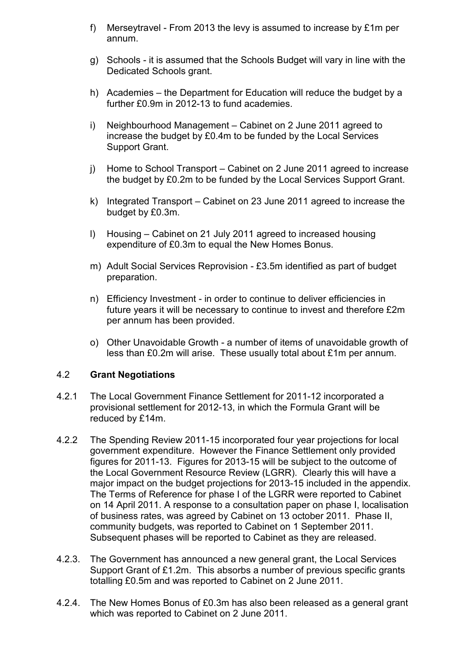- f) Merseytravel From 2013 the levy is assumed to increase by £1m per annum.
- g) Schools it is assumed that the Schools Budget will vary in line with the Dedicated Schools grant.
- h) Academies the Department for Education will reduce the budget by a further £0.9m in 2012-13 to fund academies.
- i) Neighbourhood Management Cabinet on 2 June 2011 agreed to increase the budget by £0.4m to be funded by the Local Services Support Grant.
- j) Home to School Transport Cabinet on 2 June 2011 agreed to increase the budget by £0.2m to be funded by the Local Services Support Grant.
- k) Integrated Transport Cabinet on 23 June 2011 agreed to increase the budget by £0.3m.
- l) Housing Cabinet on 21 July 2011 agreed to increased housing expenditure of £0.3m to equal the New Homes Bonus.
- m) Adult Social Services Reprovision £3.5m identified as part of budget preparation.
- n) Efficiency Investment in order to continue to deliver efficiencies in future years it will be necessary to continue to invest and therefore £2m per annum has been provided.
- o) Other Unavoidable Growth a number of items of unavoidable growth of less than £0.2m will arise. These usually total about £1m per annum.

#### 4.2 **Grant Negotiations**

- 4.2.1 The Local Government Finance Settlement for 2011-12 incorporated a provisional settlement for 2012-13, in which the Formula Grant will be reduced by £14m.
- 4.2.2 The Spending Review 2011-15 incorporated four year projections for local government expenditure. However the Finance Settlement only provided figures for 2011-13. Figures for 2013-15 will be subject to the outcome of the Local Government Resource Review (LGRR). Clearly this will have a major impact on the budget projections for 2013-15 included in the appendix. The Terms of Reference for phase I of the LGRR were reported to Cabinet on 14 April 2011. A response to a consultation paper on phase I, localisation of business rates, was agreed by Cabinet on 13 october 2011. Phase II, community budgets, was reported to Cabinet on 1 September 2011. Subsequent phases will be reported to Cabinet as they are released.
- 4.2.3. The Government has announced a new general grant, the Local Services Support Grant of £1.2m. This absorbs a number of previous specific grants totalling £0.5m and was reported to Cabinet on 2 June 2011.
- 4.2.4. The New Homes Bonus of £0.3m has also been released as a general grant which was reported to Cabinet on 2 June 2011.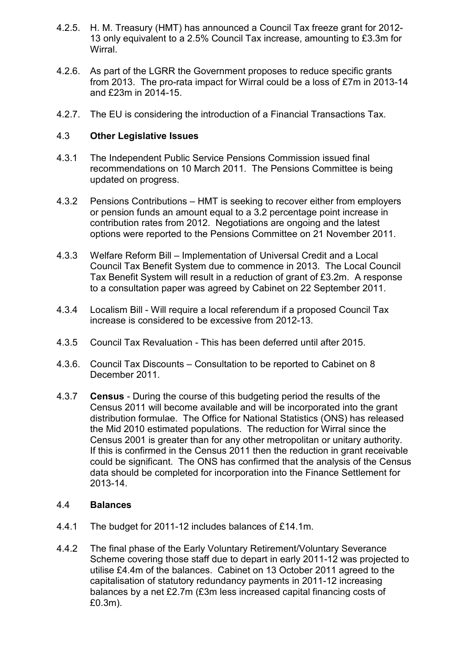- 4.2.5. H. M. Treasury (HMT) has announced a Council Tax freeze grant for 2012- 13 only equivalent to a 2.5% Council Tax increase, amounting to £3.3m for **Wirral**
- 4.2.6. As part of the LGRR the Government proposes to reduce specific grants from 2013. The pro-rata impact for Wirral could be a loss of £7m in 2013-14 and £23m in 2014-15.
- 4.2.7. The EU is considering the introduction of a Financial Transactions Tax.

## 4.3 **Other Legislative Issues**

- 4.3.1 The Independent Public Service Pensions Commission issued final recommendations on 10 March 2011. The Pensions Committee is being updated on progress.
- 4.3.2 Pensions Contributions HMT is seeking to recover either from employers or pension funds an amount equal to a 3.2 percentage point increase in contribution rates from 2012. Negotiations are ongoing and the latest options were reported to the Pensions Committee on 21 November 2011.
- 4.3.3 Welfare Reform Bill Implementation of Universal Credit and a Local Council Tax Benefit System due to commence in 2013. The Local Council Tax Benefit System will result in a reduction of grant of £3.2m. A response to a consultation paper was agreed by Cabinet on 22 September 2011.
- 4.3.4 Localism Bill Will require a local referendum if a proposed Council Tax increase is considered to be excessive from 2012-13.
- 4.3.5 Council Tax Revaluation This has been deferred until after 2015.
- 4.3.6. Council Tax Discounts Consultation to be reported to Cabinet on 8 December 2011.
- 4.3.7 **Census** During the course of this budgeting period the results of the Census 2011 will become available and will be incorporated into the grant distribution formulae. The Office for National Statistics (ONS) has released the Mid 2010 estimated populations. The reduction for Wirral since the Census 2001 is greater than for any other metropolitan or unitary authority. If this is confirmed in the Census 2011 then the reduction in grant receivable could be significant. The ONS has confirmed that the analysis of the Census data should be completed for incorporation into the Finance Settlement for 2013-14.

## 4.4 **Balances**

- 4.4.1 The budget for 2011-12 includes balances of £14.1m.
- 4.4.2 The final phase of the Early Voluntary Retirement/Voluntary Severance Scheme covering those staff due to depart in early 2011-12 was projected to utilise £4.4m of the balances. Cabinet on 13 October 2011 agreed to the capitalisation of statutory redundancy payments in 2011-12 increasing balances by a net £2.7m (£3m less increased capital financing costs of £0.3m).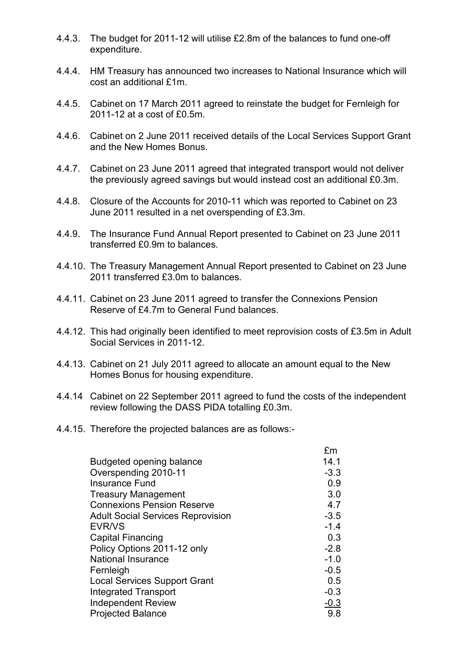- 4.4.3. The budget for 2011-12 will utilise £2.8m of the balances to fund one-off expenditure.
- 4.4.4. HM Treasury has announced two increases to National Insurance which will cost an additional £1m.
- 4.4.5. Cabinet on 17 March 2011 agreed to reinstate the budget for Fernleigh for 2011-12 at a cost of £0.5m.
- 4.4.6. Cabinet on 2 June 2011 received details of the Local Services Support Grant and the New Homes Bonus.
- 4.4.7. Cabinet on 23 June 2011 agreed that integrated transport would not deliver the previously agreed savings but would instead cost an additional £0.3m.
- 4.4.8. Closure of the Accounts for 2010-11 which was reported to Cabinet on 23 June 2011 resulted in a net overspending of £3.3m.
- 4.4.9. The Insurance Fund Annual Report presented to Cabinet on 23 June 2011 transferred £0.9m to balances.
- 4.4.10. The Treasury Management Annual Report presented to Cabinet on 23 June 2011 transferred £3.0m to balances.
- 4.4.11. Cabinet on 23 June 2011 agreed to transfer the Connexions Pension Reserve of £4.7m to General Fund balances.
- 4.4.12. This had originally been identified to meet reprovision costs of £3.5m in Adult Social Services in 2011-12.
- 4.4.13. Cabinet on 21 July 2011 agreed to allocate an amount equal to the New Homes Bonus for housing expenditure.
- 4.4.14 Cabinet on 22 September 2011 agreed to fund the costs of the independent review following the DASS PIDA totalling £0.3m.
- 4.4.15. Therefore the projected balances are as follows:-

|                                          | £m          |
|------------------------------------------|-------------|
| Budgeted opening balance                 | 14.1        |
| Overspending 2010-11                     | $-3.3$      |
| <b>Insurance Fund</b>                    | 0.9         |
| <b>Treasury Management</b>               | 3.0         |
| <b>Connexions Pension Reserve</b>        | 4.7         |
| <b>Adult Social Services Reprovision</b> | $-3.5$      |
| <b>EVR/VS</b>                            | $-1.4$      |
| <b>Capital Financing</b>                 | 0.3         |
| Policy Options 2011-12 only              | $-2.8$      |
| <b>National Insurance</b>                | $-1.0$      |
| Fernleigh                                | $-0.5$      |
| <b>Local Services Support Grant</b>      | 0.5         |
| Integrated Transport                     | $-0.3$      |
| <b>Independent Review</b>                | <u>-0.3</u> |
| <b>Projected Balance</b>                 | 9.8         |
|                                          |             |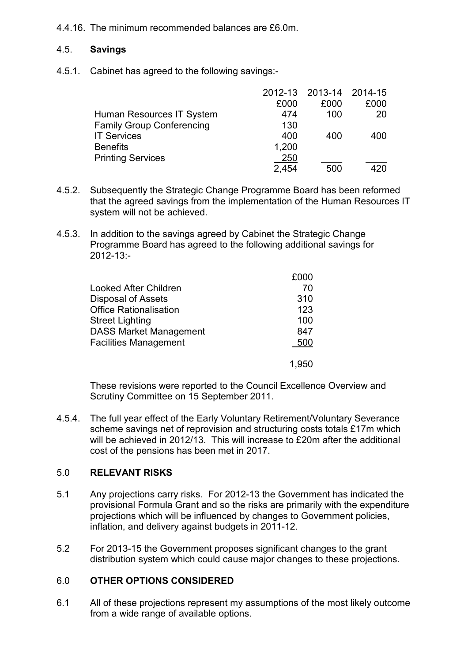## 4.4.16. The minimum recommended balances are £6.0m.

## 4.5. **Savings**

4.5.1. Cabinet has agreed to the following savings:-

|                                  |       | 2012-13 2013-14 2014-15 |      |
|----------------------------------|-------|-------------------------|------|
|                                  | £000  | £000                    | £000 |
| Human Resources IT System        | 474   | 100                     | 20   |
| <b>Family Group Conferencing</b> | 130   |                         |      |
| <b>IT Services</b>               | 400   | 400                     | 400  |
| <b>Benefits</b>                  | 1,200 |                         |      |
| <b>Printing Services</b>         | 250   |                         |      |
|                                  | 2,454 | 500                     | 420  |

- 4.5.2. Subsequently the Strategic Change Programme Board has been reformed that the agreed savings from the implementation of the Human Resources IT system will not be achieved.
- 4.5.3. In addition to the savings agreed by Cabinet the Strategic Change Programme Board has agreed to the following additional savings for 2012-13:-

| Looked After Children         | 70  |
|-------------------------------|-----|
| <b>Disposal of Assets</b>     | 310 |
| <b>Office Rationalisation</b> | 123 |
| <b>Street Lighting</b>        | 100 |
| <b>DASS Market Management</b> | 847 |
| <b>Facilities Management</b>  | 500 |
|                               |     |

 These revisions were reported to the Council Excellence Overview and Scrutiny Committee on 15 September 2011.

4.5.4. The full year effect of the Early Voluntary Retirement/Voluntary Severance scheme savings net of reprovision and structuring costs totals £17m which will be achieved in 2012/13. This will increase to £20m after the additional cost of the pensions has been met in 2017.

#### 5.0 **RELEVANT RISKS**

- 5.1 Any projections carry risks. For 2012-13 the Government has indicated the provisional Formula Grant and so the risks are primarily with the expenditure projections which will be influenced by changes to Government policies, inflation, and delivery against budgets in 2011-12.
- 5.2 For 2013-15 the Government proposes significant changes to the grant distribution system which could cause major changes to these projections.

## 6.0 **OTHER OPTIONS CONSIDERED**

6.1 All of these projections represent my assumptions of the most likely outcome from a wide range of available options.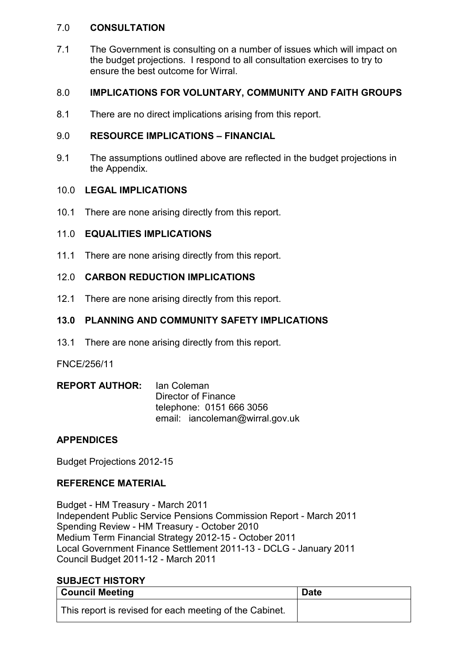## 7.0 **CONSULTATION**

7.1 The Government is consulting on a number of issues which will impact on the budget projections. I respond to all consultation exercises to try to ensure the best outcome for Wirral.

## 8.0 **IMPLICATIONS FOR VOLUNTARY, COMMUNITY AND FAITH GROUPS**

8.1 There are no direct implications arising from this report.

## 9.0 **RESOURCE IMPLICATIONS – FINANCIAL**

9.1 The assumptions outlined above are reflected in the budget projections in the Appendix.

## 10.0 **LEGAL IMPLICATIONS**

10.1 There are none arising directly from this report.

## 11.0 **EQUALITIES IMPLICATIONS**

11.1 There are none arising directly from this report.

## 12.0 **CARBON REDUCTION IMPLICATIONS**

12.1 There are none arising directly from this report.

## **13.0 PLANNING AND COMMUNITY SAFETY IMPLICATIONS**

13.1 There are none arising directly from this report.

#### FNCE/256/11

| <b>REPORT AUTHOR:</b> Ian Coleman |                                 |
|-----------------------------------|---------------------------------|
|                                   | Director of Finance             |
|                                   | telephone: 0151 666 3056        |
|                                   | email: iancoleman@wirral.gov.uk |

## **APPENDICES**

Budget Projections 2012-15

## **REFERENCE MATERIAL**

Budget - HM Treasury - March 2011 Independent Public Service Pensions Commission Report - March 2011 Spending Review - HM Treasury - October 2010 Medium Term Financial Strategy 2012-15 - October 2011 Local Government Finance Settlement 2011-13 - DCLG - January 2011 Council Budget 2011-12 - March 2011

# **SUBJECT HISTORY**

| <b>Council Meeting</b>                                  | <b>Date</b> |
|---------------------------------------------------------|-------------|
| This report is revised for each meeting of the Cabinet. |             |